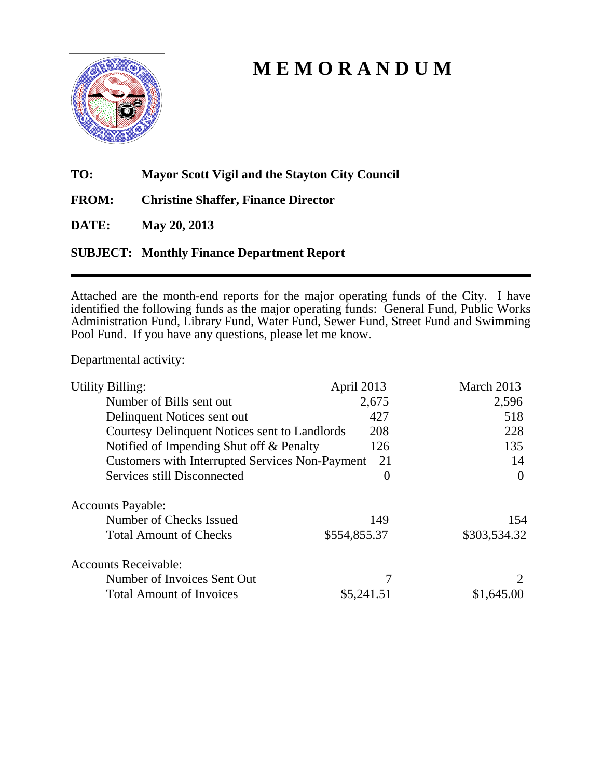

## **M E M O R A N D U M**

**TO: Mayor Scott Vigil and the Stayton City Council** 

**FROM: Christine Shaffer, Finance Director** 

**DATE: May 20, 2013** 

### **SUBJECT: Monthly Finance Department Report**

Attached are the month-end reports for the major operating funds of the City. I have identified the following funds as the major operating funds: General Fund, Public Works Administration Fund, Library Fund, Water Fund, Sewer Fund, Street Fund and Swimming Pool Fund. If you have any questions, please let me know.

Departmental activity:

| <b>Utility Billing:</b>                                | April 2013   | March 2013   |
|--------------------------------------------------------|--------------|--------------|
| Number of Bills sent out                               | 2,675        | 2,596        |
| Delinquent Notices sent out                            | 427          | 518          |
| Courtesy Delinquent Notices sent to Landlords          | 208          | 228          |
| Notified of Impending Shut off & Penalty               | 126          | 135          |
| <b>Customers with Interrupted Services Non-Payment</b> | 21           | 14           |
| Services still Disconnected                            | 0            | $\Omega$     |
| <b>Accounts Payable:</b>                               |              |              |
| Number of Checks Issued                                | 149          | 154          |
| <b>Total Amount of Checks</b>                          | \$554,855.37 | \$303,534.32 |
| <b>Accounts Receivable:</b>                            |              |              |
| Number of Invoices Sent Out                            |              |              |
| <b>Total Amount of Invoices</b>                        | \$5,241.51   | \$1,645.00   |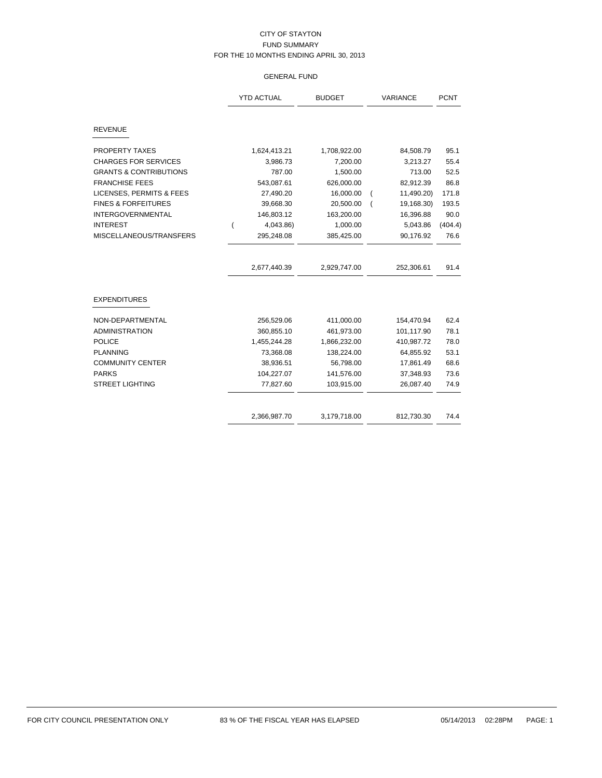#### GENERAL FUND

|                                   | <b>YTD ACTUAL</b> | <b>BUDGET</b> | VARIANCE                     | <b>PCNT</b> |
|-----------------------------------|-------------------|---------------|------------------------------|-------------|
| <b>REVENUE</b>                    |                   |               |                              |             |
| <b>PROPERTY TAXES</b>             | 1,624,413.21      | 1,708,922.00  | 84,508.79                    | 95.1        |
| <b>CHARGES FOR SERVICES</b>       | 3,986.73          | 7,200.00      | 3,213.27                     | 55.4        |
| <b>GRANTS &amp; CONTRIBUTIONS</b> | 787.00            | 1,500.00      | 713.00                       | 52.5        |
| <b>FRANCHISE FEES</b>             | 543,087.61        | 626,000.00    | 82,912.39                    | 86.8        |
| LICENSES, PERMITS & FEES          | 27,490.20         | 16,000.00     | 11,490.20)<br>(              | 171.8       |
| <b>FINES &amp; FORFEITURES</b>    | 39,668.30         | 20,500.00     | 19,168.30)<br>$\overline{(}$ | 193.5       |
| <b>INTERGOVERNMENTAL</b>          | 146,803.12        | 163,200.00    | 16,396.88                    | 90.0        |
| <b>INTEREST</b>                   | 4,043.86)         | 1,000.00      | 5,043.86                     | (404.4)     |
| MISCELLANEOUS/TRANSFERS           | 295,248.08        | 385,425.00    | 90,176.92                    | 76.6        |
|                                   | 2,677,440.39      | 2,929,747.00  | 252,306.61                   | 91.4        |
| <b>EXPENDITURES</b>               |                   |               |                              |             |
| NON-DEPARTMENTAL                  | 256,529.06        | 411,000.00    | 154,470.94                   | 62.4        |
| <b>ADMINISTRATION</b>             | 360,855.10        | 461,973.00    | 101,117.90                   | 78.1        |
| <b>POLICE</b>                     | 1,455,244.28      | 1,866,232.00  | 410,987.72                   | 78.0        |
| <b>PLANNING</b>                   | 73,368.08         | 138,224.00    | 64,855.92                    | 53.1        |
| <b>COMMUNITY CENTER</b>           | 38,936.51         | 56,798.00     | 17,861.49                    | 68.6        |
| <b>PARKS</b>                      | 104,227.07        | 141,576.00    | 37,348.93                    | 73.6        |
| <b>STREET LIGHTING</b>            | 77,827.60         | 103,915.00    | 26,087.40                    | 74.9        |
|                                   | 2,366,987.70      | 3,179,718.00  | 812,730.30                   | 74.4        |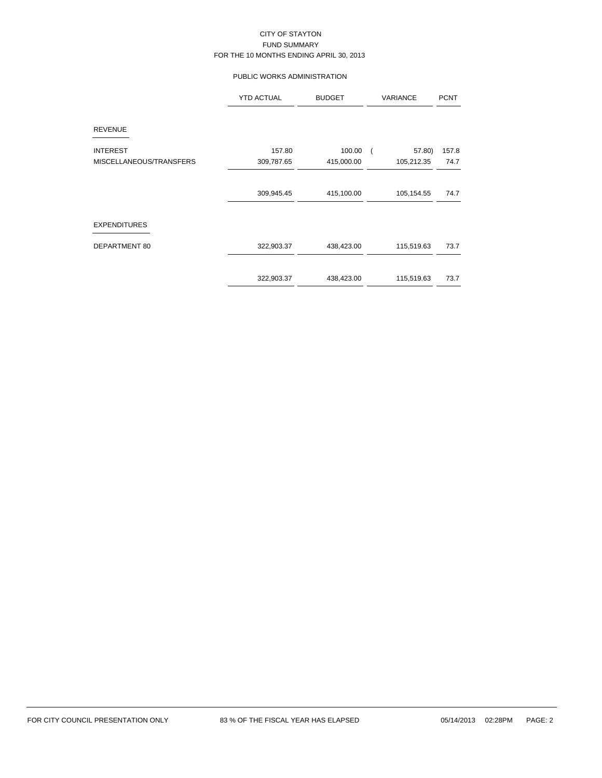#### PUBLIC WORKS ADMINISTRATION

|                         | <b>YTD ACTUAL</b> | <b>BUDGET</b> | VARIANCE                 | <b>PCNT</b> |  |
|-------------------------|-------------------|---------------|--------------------------|-------------|--|
| <b>REVENUE</b>          |                   |               |                          |             |  |
| <b>INTEREST</b>         | 157.80            | 100.00        | 57.80)<br>$\overline{ }$ | 157.8       |  |
| MISCELLANEOUS/TRANSFERS | 309,787.65        | 415,000.00    | 105,212.35               | 74.7        |  |
|                         | 309,945.45        | 415,100.00    | 105,154.55               | 74.7        |  |
| <b>EXPENDITURES</b>     |                   |               |                          |             |  |
| DEPARTMENT 80           | 322,903.37        | 438,423.00    | 115,519.63               | 73.7        |  |
|                         | 322,903.37        | 438,423.00    | 115,519.63               | 73.7        |  |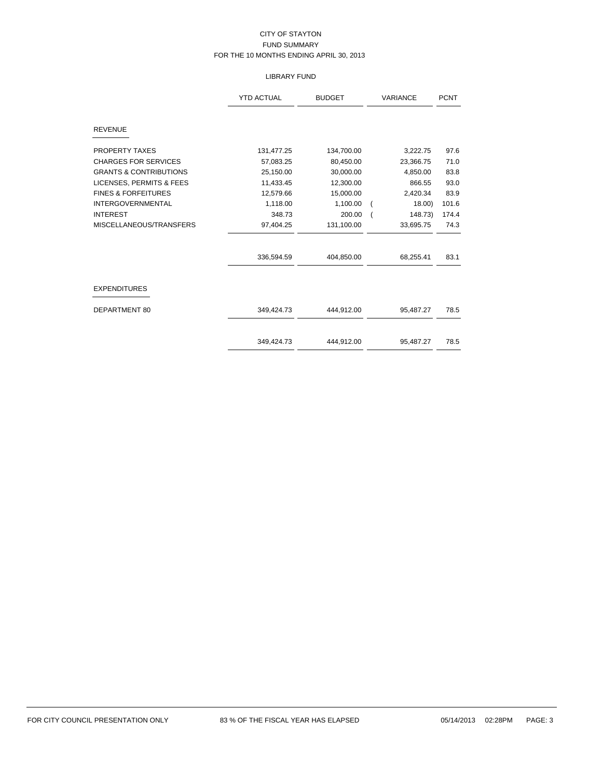#### LIBRARY FUND

|                                   | <b>YTD ACTUAL</b> | <b>BUDGET</b> | <b>VARIANCE</b> | <b>PCNT</b> |
|-----------------------------------|-------------------|---------------|-----------------|-------------|
| <b>REVENUE</b>                    |                   |               |                 |             |
| <b>PROPERTY TAXES</b>             | 131,477.25        | 134,700.00    | 3,222.75        | 97.6        |
| <b>CHARGES FOR SERVICES</b>       | 57,083.25         | 80,450.00     | 23,366.75       | 71.0        |
| <b>GRANTS &amp; CONTRIBUTIONS</b> | 25,150.00         | 30,000.00     | 4,850.00        | 83.8        |
| LICENSES, PERMITS & FEES          | 11,433.45         | 12,300.00     | 866.55          | 93.0        |
| <b>FINES &amp; FORFEITURES</b>    | 12,579.66         | 15,000.00     | 2,420.34        | 83.9        |
| <b>INTERGOVERNMENTAL</b>          | 1,118.00          | 1,100.00      | $18.00$ )       | 101.6       |
| <b>INTEREST</b>                   | 348.73            | 200.00        | 148.73)         | 174.4       |
| MISCELLANEOUS/TRANSFERS           | 97,404.25         | 131,100.00    | 33,695.75       | 74.3        |
|                                   | 336,594.59        | 404,850.00    | 68,255.41       | 83.1        |
| <b>EXPENDITURES</b>               |                   |               |                 |             |
| DEPARTMENT 80                     | 349,424.73        | 444,912.00    | 95,487.27       | 78.5        |
|                                   | 349,424.73        | 444,912.00    | 95,487.27       | 78.5        |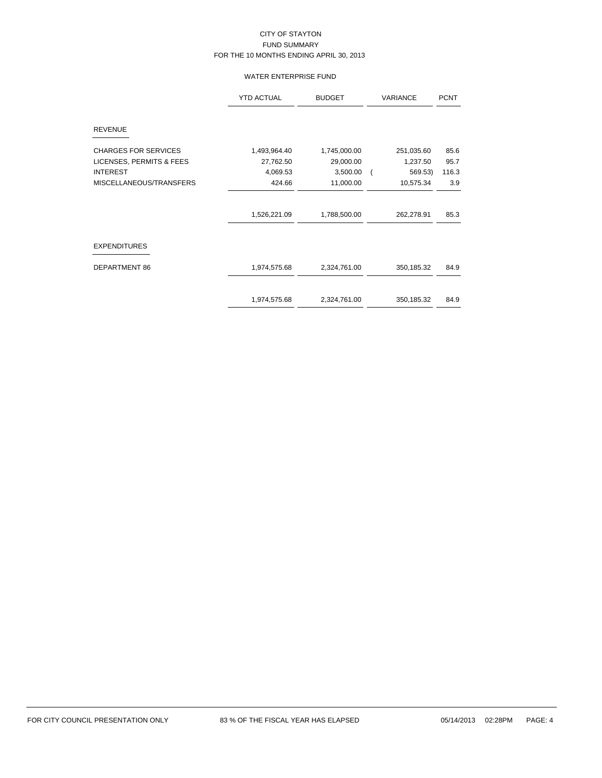#### WATER ENTERPRISE FUND

|                             | <b>YTD ACTUAL</b> | <b>BUDGET</b> | <b>VARIANCE</b> | <b>PCNT</b> |
|-----------------------------|-------------------|---------------|-----------------|-------------|
| <b>REVENUE</b>              |                   |               |                 |             |
| <b>CHARGES FOR SERVICES</b> | 1,493,964.40      | 1,745,000.00  | 251,035.60      | 85.6        |
| LICENSES, PERMITS & FEES    | 27,762.50         | 29,000.00     | 1,237.50        | 95.7        |
| <b>INTEREST</b>             | 4,069.53          | 3,500.00      | 569.53)         | 116.3       |
| MISCELLANEOUS/TRANSFERS     | 424.66            | 11,000.00     | 10,575.34       | 3.9         |
|                             | 1,526,221.09      | 1,788,500.00  | 262,278.91      | 85.3        |
| <b>EXPENDITURES</b>         |                   |               |                 |             |
| DEPARTMENT 86               | 1,974,575.68      | 2,324,761.00  | 350,185.32      | 84.9        |
|                             | 1,974,575.68      | 2,324,761.00  | 350,185.32      | 84.9        |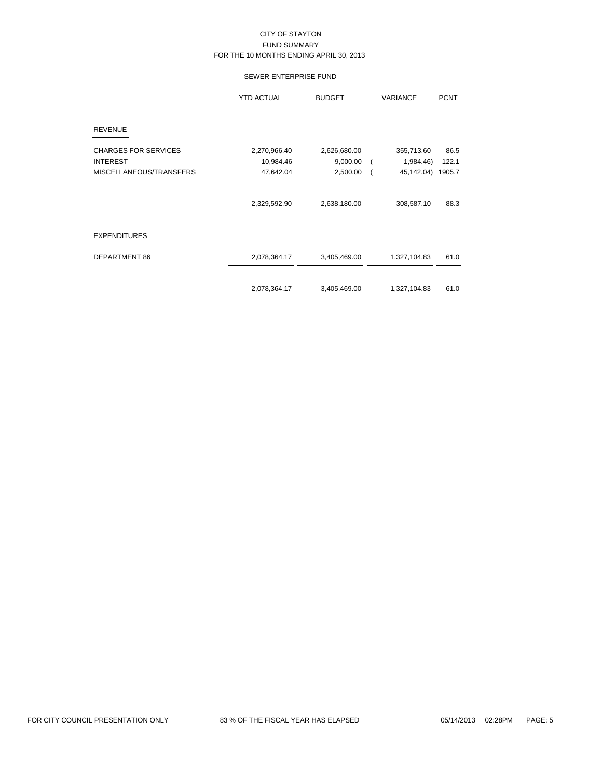#### SEWER ENTERPRISE FUND

|                             | <b>YTD ACTUAL</b> | <b>BUDGET</b> | <b>VARIANCE</b>             | <b>PCNT</b> |
|-----------------------------|-------------------|---------------|-----------------------------|-------------|
| <b>REVENUE</b>              |                   |               |                             |             |
| <b>CHARGES FOR SERVICES</b> | 2,270,966.40      | 2,626,680.00  | 355,713.60                  | 86.5        |
| <b>INTEREST</b>             | 10,984.46         | 9,000.00      | 1,984.46)<br>$\overline{ }$ | 122.1       |
| MISCELLANEOUS/TRANSFERS     | 47,642.04         | 2,500.00      | 45,142.04)                  | 1905.7      |
|                             | 2,329,592.90      | 2,638,180.00  | 308,587.10                  | 88.3        |
| <b>EXPENDITURES</b>         |                   |               |                             |             |
| <b>DEPARTMENT 86</b>        | 2,078,364.17      | 3,405,469.00  | 1,327,104.83                | 61.0        |
|                             | 2,078,364.17      | 3,405,469.00  | 1,327,104.83                | 61.0        |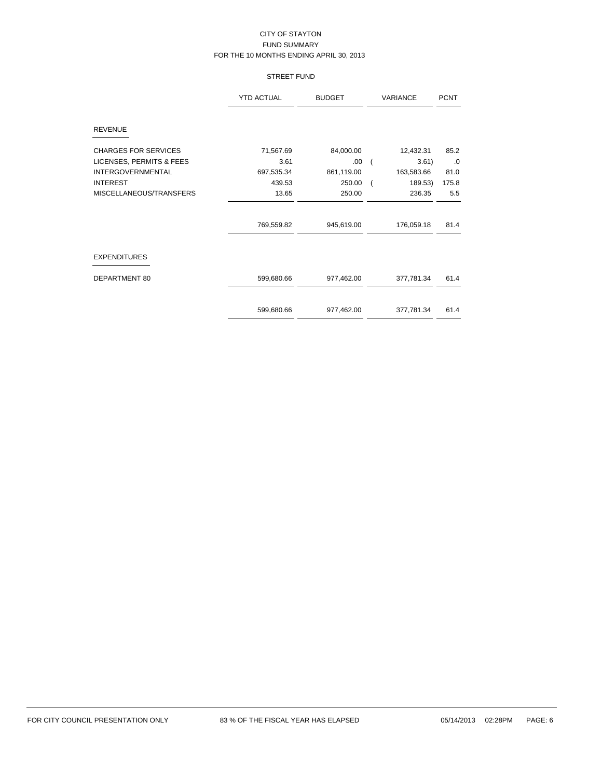#### STREET FUND

|                             | <b>YTD ACTUAL</b> | <b>BUDGET</b> | <b>VARIANCE</b>           | <b>PCNT</b> |  |
|-----------------------------|-------------------|---------------|---------------------------|-------------|--|
| <b>REVENUE</b>              |                   |               |                           |             |  |
| <b>CHARGES FOR SERVICES</b> | 71,567.69         | 84,000.00     | 12,432.31                 | 85.2        |  |
| LICENSES, PERMITS & FEES    | 3.61              | .00           | 3.61)                     | $\cdot 0$   |  |
| <b>INTERGOVERNMENTAL</b>    | 697,535.34        | 861,119.00    | 163,583.66                | 81.0        |  |
| <b>INTEREST</b>             | 439.53            | 250.00        | 189.53)<br>$\overline{ }$ | 175.8       |  |
| MISCELLANEOUS/TRANSFERS     | 13.65             | 250.00        | 236.35                    | 5.5         |  |
|                             |                   |               |                           |             |  |
|                             | 769,559.82        | 945,619.00    | 176,059.18                | 81.4        |  |
| <b>EXPENDITURES</b>         |                   |               |                           |             |  |
| DEPARTMENT 80               | 599,680.66        | 977,462.00    | 377,781.34                | 61.4        |  |
|                             | 599,680.66        | 977,462.00    | 377,781.34                | 61.4        |  |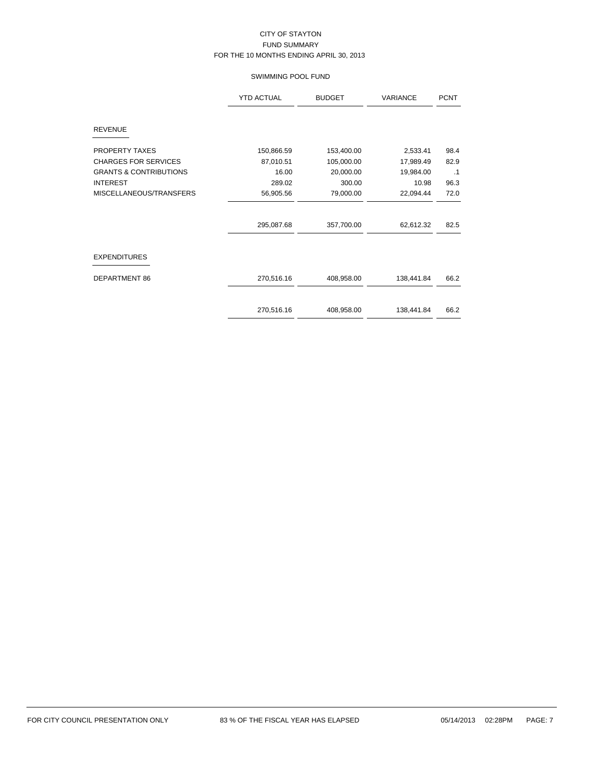#### SWIMMING POOL FUND

|                                   | <b>YTD ACTUAL</b> | <b>BUDGET</b> | <b>VARIANCE</b> | <b>PCNT</b> |
|-----------------------------------|-------------------|---------------|-----------------|-------------|
| <b>REVENUE</b>                    |                   |               |                 |             |
|                                   |                   |               |                 |             |
| <b>PROPERTY TAXES</b>             | 150,866.59        | 153,400.00    | 2,533.41        | 98.4        |
| <b>CHARGES FOR SERVICES</b>       | 87,010.51         | 105,000.00    | 17,989.49       | 82.9        |
| <b>GRANTS &amp; CONTRIBUTIONS</b> | 16.00             | 20,000.00     | 19,984.00       | $\cdot$ 1   |
| <b>INTEREST</b>                   | 289.02            | 300.00        | 10.98           | 96.3        |
| MISCELLANEOUS/TRANSFERS           | 56,905.56         | 79,000.00     | 22,094.44       | 72.0        |
|                                   |                   |               |                 |             |
|                                   | 295,087.68        | 357,700.00    | 62,612.32       | 82.5        |
| <b>EXPENDITURES</b>               |                   |               |                 |             |
| DEPARTMENT 86                     | 270,516.16        | 408,958.00    | 138,441.84      | 66.2        |
|                                   | 270,516.16        | 408,958.00    | 138,441.84      | 66.2        |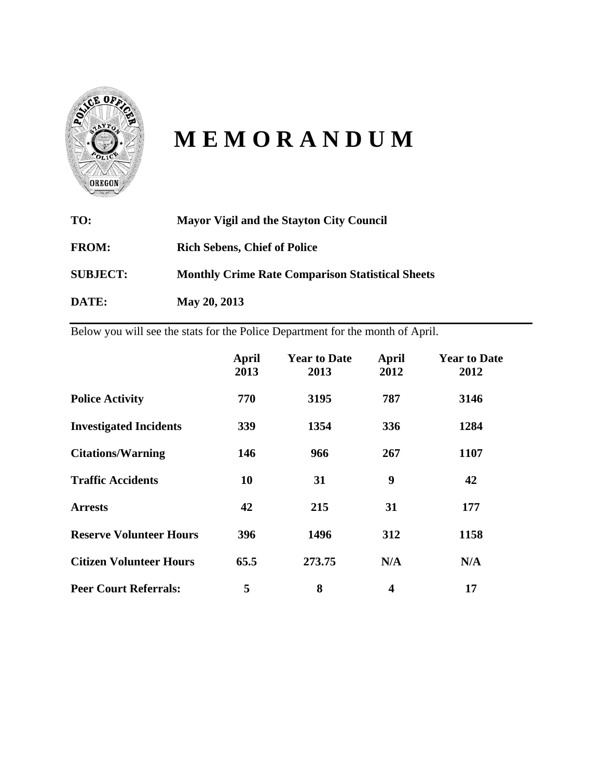

# **M E M O R A N D U M**

| TO:             | <b>Mayor Vigil and the Stayton City Council</b>         |
|-----------------|---------------------------------------------------------|
| <b>FROM:</b>    | <b>Rich Sebens, Chief of Police</b>                     |
| <b>SUBJECT:</b> | <b>Monthly Crime Rate Comparison Statistical Sheets</b> |
| DATE:           | May 20, 2013                                            |

Below you will see the stats for the Police Department for the month of April.

|                                | <b>April</b><br>2013 | <b>Year to Date</b><br>2013 | April<br>2012 | <b>Year to Date</b><br>2012 |
|--------------------------------|----------------------|-----------------------------|---------------|-----------------------------|
| <b>Police Activity</b>         | 770                  | 3195                        | 787           | 3146                        |
| <b>Investigated Incidents</b>  | 339                  | 1354                        | 336           | 1284                        |
| <b>Citations/Warning</b>       | 146                  | 966                         | 267           | 1107                        |
| <b>Traffic Accidents</b>       | 10                   | 31                          | 9             | 42                          |
| <b>Arrests</b>                 | 42                   | 215                         | 31            | 177                         |
| <b>Reserve Volunteer Hours</b> | 396                  | 1496                        | 312           | 1158                        |
| <b>Citizen Volunteer Hours</b> | 65.5                 | 273.75                      | N/A           | N/A                         |
| <b>Peer Court Referrals:</b>   | 5                    | 8                           | 4             | 17                          |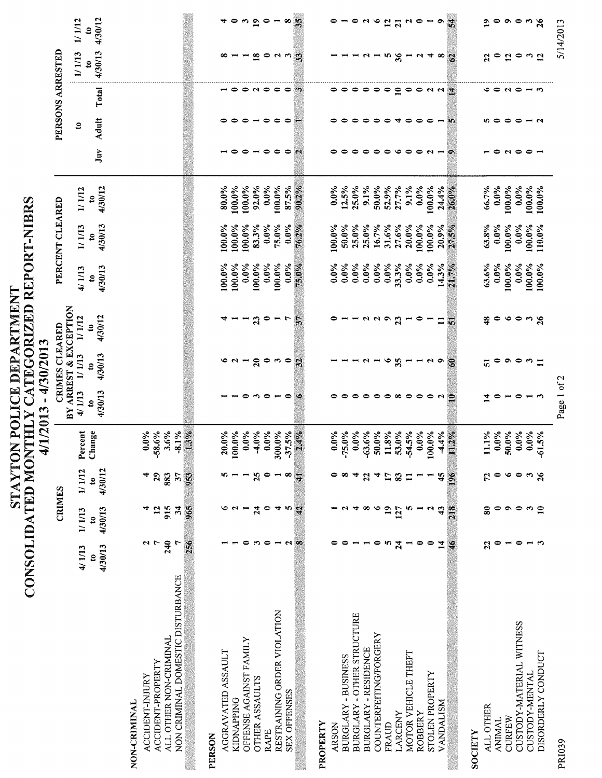|                                                             | CONSOLIDATED MON                     |                                   | STAYTOI                     | THLY                     | $\pmb{\mathsf{I}}$<br>/1/2013         | 4/30/2013                             | N POLICE DEPARTMENT                       | CATEGORIZED REPORT-NIBRS |                   |                       |                          |                                   |                               |                          |                           |
|-------------------------------------------------------------|--------------------------------------|-----------------------------------|-----------------------------|--------------------------|---------------------------------------|---------------------------------------|-------------------------------------------|--------------------------|-------------------|-----------------------|--------------------------|-----------------------------------|-------------------------------|--------------------------|---------------------------|
|                                                             |                                      | <b>CRIMES</b>                     |                             |                          |                                       | CRIMES CLEARED                        |                                           |                          | PERCENT CLEARED   |                       |                          | PERSONS ARRESTED                  |                               |                          |                           |
|                                                             | 4/1/13                               | 1/1/13                            | 1/1/12                      | Percent                  | 4/1/13<br>$\mathbf{B}^{\prime}$       | 1/1/13                                | ARREST & EXCEPTION<br>1/1/12              | 4/1/13                   | 1/1/13            | 1/1/12                |                          | \$                                |                               | 1/1/13                   | 1/1/12                    |
|                                                             | 4/30/13<br>$\boldsymbol{\mathsf{s}}$ | 4/30/13<br>$\mathbf{c}$           | 4/30/12<br>$\boldsymbol{e}$ | Change                   | 4/30/13<br>s                          | 4/30/13<br>$\boldsymbol{\varepsilon}$ | 4/30/12<br>$\boldsymbol{\mathsf{s}}$      | 4/30/13<br>$\mathbf{S}$  | 4/30/13           | 4/30/12<br>$\ddot{c}$ | Juv                      | <b>Adult</b>                      | Total                         | 4/30/13<br>g             | 4/30/12<br>$\mathbf{e}$   |
| NON-CRIMINAL                                                |                                      |                                   |                             |                          |                                       |                                       |                                           |                          |                   |                       |                          |                                   |                               |                          |                           |
| ACCIDENT-PROPERTY<br><b>ACCIDENT-INJURY</b>                 | $\overline{r}$<br>u                  | $\mathbf{5}$                      | 29<br>4                     | $0.0\%$<br>$-58.6%$      |                                       |                                       |                                           |                          |                   |                       |                          |                                   |                               |                          |                           |
| NON CRIMINAL DOMESTIC DISTURBANCE<br>ALL OTHER NON-CRIMINAL | 240<br>256                           | 915<br>965<br>रु                  | 883<br>953<br>37            | $-8.1\%$<br>1.3%<br>3.6% |                                       |                                       |                                           |                          |                   |                       |                          |                                   |                               |                          |                           |
| PERSON                                                      |                                      |                                   |                             |                          |                                       |                                       |                                           |                          |                   |                       |                          |                                   |                               |                          |                           |
| AGGRAVATED ASSAULT                                          |                                      |                                   |                             | 20.0%<br>100.0%          |                                       |                                       |                                           | 100.0%                   | 100.0%            | 80.0%                 |                          |                                   | $ -$                          | $\infty$ $-$             | 40                        |
| OFFENSE AGAINST FAMILY<br><b>KIDNAPPING</b>                 | 0                                    | $\sim$ $\sim$ $\sim$              |                             | $0.0\%$                  | 0                                     | $\sim$ $\sim$ $\sim$                  |                                           | $0.0\%$<br>100.0%        | 100.0%<br>100.0%  | 100.0%<br>100.0%      | ∘                        | $\bullet$<br>0                    |                               | $\blacksquare$           |                           |
| <b>OTHER ASSAULTS</b>                                       | ా                                    | 24                                | 25                          | $-4.0%$                  | n                                     | $\overline{20}$                       | 23                                        | 100.0%                   | 83.3%             | 92.0%                 |                          | $\blacksquare$                    | $\bullet$ $\bullet$ $\bullet$ | $\mathbf{18}$            | $\frac{10}{2}$            |
| RAPE                                                        | $\bullet$                            | $\bullet$                         | $\bullet$                   | 300.0%<br>$0.0\%$        | $\bullet$<br>$\overline{\phantom{a}}$ | $\bullet$<br>S                        | $\bullet$                                 | 100.0%<br>$0.0\%$        | 75.0%<br>$0.0\%$  | 100.0%<br>$0.0\%$     | $\bullet$<br>$\bullet$   | $\bullet$<br>$\bullet$            |                               | $\bullet$                | $\blacksquare$            |
| RESTRAINING ORDER VIOLATION<br><b>SEX OFFENSES</b>          | လ ဆ<br>$\blacksquare$                | 4<br>n ä                          | $\infty$                    | $-37.5%$                 | $\bullet$                             | $\bullet$                             | $\overline{r}$                            | $0.0\%$                  | $0.0\%$           | 87.5%                 | $\bullet$                | $\bullet$                         | $\bullet$                     | 253                      | $\infty$                  |
|                                                             |                                      |                                   | $\overline{\mathcal{A}}$    | $2.4\%$                  | $\circ$                               | $\mathcal{L}$                         | $\mathcal{F}_{\mathcal{F}_{\mathcal{F}}}$ | 75.0%                    | 76.2%             | 90.2%                 | X,                       |                                   | $\mathcal{F}^{\bullet}$ .     |                          | $\frac{w}{m}$             |
| PROPERTY                                                    |                                      |                                   |                             |                          |                                       |                                       |                                           |                          |                   |                       |                          |                                   |                               |                          |                           |
| <b>ARSON</b>                                                |                                      |                                   |                             | $0.0\%$                  | ⇨                                     |                                       |                                           | $0.0\%$                  | $100.0\%$         | $0.0\%$               |                          | 0                                 | 0                             |                          | 0                         |
| <b>BURGLARY - OTHER STRUCTURE</b><br>BURGLARY - BUSINESS    |                                      | ₩<br>N                            | ∞<br>4                      | $-75.0%$<br>$0.0\%$      | $\bullet$<br>$\bullet$                |                                       | $\blacksquare$                            | $0.0\%$<br>$0.0\%$       | 50.0%<br>25.0%    | 12.5%<br>$25.0\%$     | $\bullet$<br>0           | $\bullet$<br>⇨                    | $\circ\circ\circ\circ\circ$   | $\blacksquare$           | $\overline{\phantom{a}}$  |
| <b>BURGLARY - RESIDENCE</b>                                 |                                      | $\infty$                          | $\boldsymbol{z}$            | $-63.6%$                 | $\bullet$                             | N                                     |                                           | $0.0\%$                  | 25.0%             | 9.1%                  | $\bullet$                | $\bullet$                         |                               | N                        | $\circ$ $\sim$            |
| <b>COUNTERFEITING/FORGERY</b>                               | $\bullet$                            | $\bullet$                         | A                           | 50.0%<br>11.8%           | $\Rightarrow$                         |                                       | 772                                       | $0.0\%$                  | 16.7%             | 50.0%                 | $\bullet$                | $\bullet$                         |                               | $\overline{\phantom{a}}$ |                           |
| LARCENY<br>FRAUD                                            | 5<br>$\overline{24}$                 | $\mathbf{a}$<br>127               | 83<br>$\mathbf{r}$          | 53.0%                    | $\bullet$<br>$\infty$                 | ۱o<br>35                              | 23                                        | $0.0\%$<br>33.3%         | 31.6%<br>27.6%    | 52.9%<br>27.7%        | $\bullet$<br>$\bullet$   | $\bullet$<br>$\blacktriangledown$ | $\overline{10}$               | m<br>36                  | $\frac{2}{21}$            |
| MOTOR VEHICLE THEFT                                         | $\blacksquare$                       | n                                 | Ξ                           | $-54.5%$                 | $\bullet$                             | m                                     |                                           | $0.0\%$                  | 20.0%             | 9.1%                  | $\bullet$                | $\bullet$                         |                               | $\overline{\phantom{a}}$ | $\mathbf{a}$              |
| ROBBERY                                                     | $\bullet$                            |                                   |                             | $0.0\%$                  | $\bullet$                             |                                       | 0                                         | $0.0\%$                  | $100.0\%$         | $0.0\%$               | $\bullet$                | 0                                 |                               | $\sim$                   | $\bullet$                 |
| <b>STOLEN PROPERTY</b><br>VANDALISM                         | 0<br>$\overline{1}$                  | 43<br>ન                           | 45                          | 100.0%<br>$-4.4%$        | $\bullet$<br>$\sim$                   | ۰<br>M                                | ≔                                         | $0.0\%$<br>14.3%         | 100.0%<br>20.9%   | 24.4%<br>100.0%       | $\sim$ $-$               | $\bullet$                         | 0011                          | ₩<br>$\infty$            | ٥                         |
|                                                             | $\frac{6}{7}$                        | $\frac{8}{21}$                    | $\widetilde{\mathcal{S}}$   | 11.2%                    | e                                     | $\ddot{\circ}$                        | $\overline{u}$                            | 21.7%                    | 27,5%             | 26.0%                 | $\sim$                   | u.                                | 鳳                             | $\mathbf{c}$             | $\vec{x}$                 |
| SOCIETY                                                     |                                      |                                   |                             |                          |                                       |                                       |                                           |                          |                   |                       |                          |                                   |                               |                          |                           |
| ALL OTHER                                                   | 2                                    | ື                                 | 72                          | 1.1%                     | $\overline{a}$                        | ត                                     | 48                                        | 63.6%                    | 63.8%             | 66.7%                 |                          |                                   |                               | 22                       | ۰                         |
| <b>ANIMAL</b>                                               |                                      | $\bullet$                         | $\bullet$                   | $0.0\%$                  | $\bullet$                             | $\bullet$                             | $\bullet$                                 | $0.0\%$                  | $0.0\%$           | $0.0\%$               | 0                        |                                   |                               | $\bullet$                |                           |
| CUSTODY-MATERIAL WITNESS<br><b>CURFEW</b>                   | $\bullet$                            | $\circ$ $\circ$ $\circ$ $\approx$ | $\circ$<br>$\bullet$        | 50.0%<br>$0.0\%$         | $\bullet$<br>$\overline{\phantom{0}}$ | $\bullet$<br>$\bullet$                | $\circ \circ \circ$                       | 100.0%<br>$0.0\%$        | 100.0%<br>$0.0\%$ | 100.0%<br>$0.0\%$     | $\sim$                   | いつつつ                              | いつへつしゅ                        | $\mathbf{r}$             | $\circ \circ \circ \circ$ |
| <b>CUSTODY-MENTAL</b>                                       | $-5$                                 |                                   | ್<br>ನ                      | $0.0\%$                  | $ -$                                  | $\frac{1}{2}$                         |                                           | 100.0%                   | $100.0\%$         | 100.0%                | $\bullet$ $\blacksquare$ | $ \sim$                           |                               | 0.52                     |                           |
| DISORDERLY CONDUCT                                          |                                      |                                   |                             | $-61.5%$                 |                                       |                                       | 26                                        | 100.0%                   | 110.0%            | 100.0%                |                          |                                   |                               |                          | $\frac{5}{2}$             |
| <b>PRI039</b>                                               |                                      |                                   |                             |                          | Page 1 of 2                           |                                       |                                           |                          |                   |                       |                          |                                   |                               | 5/14/2013                |                           |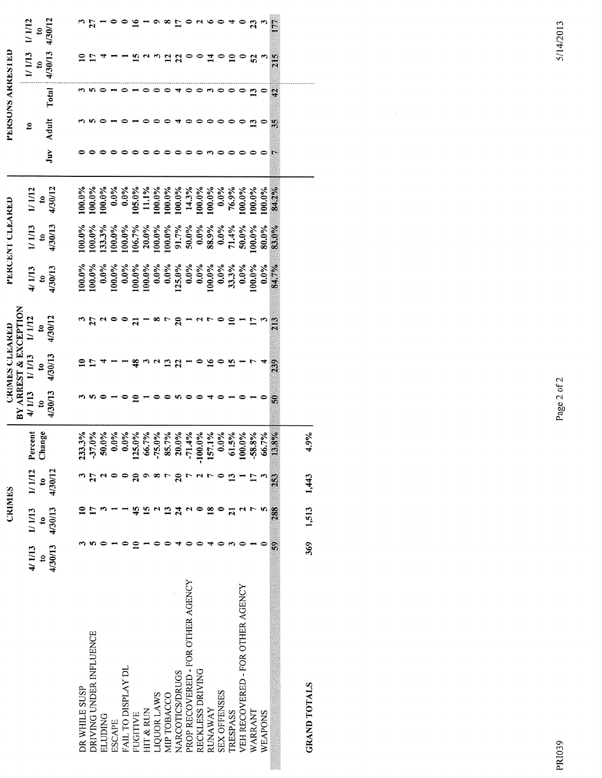|                       | 1/1/12           | $\mathbf{e}$                | 4/30/12 |               | $\overline{z}$              |                |               |                    | $\tilde{=}$                 |           |             | $\frac{8}{1}$  |                            |                                                                        |                  | $\circ$ $\circ$ $\circ$  |                     | प               | 0                                | $\boldsymbol{z}$ |         | F              |                     |
|-----------------------|------------------|-----------------------------|---------|---------------|-----------------------------|----------------|---------------|--------------------|-----------------------------|-----------|-------------|----------------|----------------------------|------------------------------------------------------------------------|------------------|--------------------------|---------------------|-----------------|----------------------------------|------------------|---------|----------------|---------------------|
| PERSONS ARRESTED      | 1/1/13           | $\mathbf{e}$                | 4/30/13 |               |                             |                |               |                    |                             |           |             | 1300           |                            |                                                                        |                  | $\vec{a}$                |                     | $\Xi$           | $\bullet$                        | 52               |         | $\frac{5}{2}$  |                     |
|                       |                  |                             | Total   |               |                             |                |               | ه ∗                |                             |           |             |                |                            |                                                                        |                  | ొ ⇔                      |                     |                 | $\bullet$                        | ≌                |         | <b>C</b>       |                     |
|                       | $\boldsymbol{z}$ |                             | Adult   |               |                             |                |               |                    |                             |           |             |                |                            | 0                                                                      |                  | $\bullet$                |                     |                 | 0                                | $\mathbf{r}$     |         | $\mathcal{L}$  |                     |
|                       |                  |                             | Juv     |               |                             |                |               |                    |                             |           |             |                |                            |                                                                        |                  | ొ ⇔                      |                     |                 |                                  |                  |         | 風話             |                     |
|                       | 1/1/12           | $\frac{10}{4/30/12}$        |         | 100.0%        | 100.0%                      | 100.0%         | $0.0\%$       | $0.0\%$            | 105.0%                      | 11.1%     | 100.0%      | 100.0%         |                            | $\begin{array}{l} 100.0\% \\ 14.3\% \\ 100.0\% \\ 100.0\% \end{array}$ |                  |                          | $0.0\%$             | 76.9%           | 100.0%                           | $100.0\%$        | 100.0%  | 84.2%          |                     |
| PERCENT CLEARED       | 1/1/13           | $\frac{10}{4/30/13}$        |         | 100.0%        | $100.0\%$                   | 133.3%         | 100.0%        | 100.0%             | 106.7%                      | 20.0%     | 100.0%      | 100.0%         | 91.7%                      | 50.0%                                                                  | $0.0\%$          | 88.9%                    | $0.0\%$             | 71.4%           | 50.0%                            | $00.0\%$         | 80.0%   | 83.0%          |                     |
|                       | 4/1/13           | $\frac{10}{4/30/13}$        |         | 100.0%        | 100.0%                      | $0.0\%$        | $100.0\%$     | $0.0\%$            | $100.0\%$                   | 100.0%    | $0.0\%$     | $0.0\%$        | 125.0%                     | $\frac{0.0\%}{0.0\%}$                                                  |                  | $100.0\%$                | $0.0\%$             | 33.3%           | $0.0\%$                          | $00.0\%$         | $0.0\%$ | 84.7%          |                     |
| BY ARREST & EXCEPTION | 1/1/12           | $\mathbf{e}$                | 4/30/12 |               | $\frac{1}{2}$ $\frac{1}{2}$ |                |               |                    | $\overline{a}$              |           | œ           | $\overline{r}$ |                            | $2 - 4 - 7$                                                            |                  |                          | $\bullet$           | $\mathbf{u}$    |                                  | $\mathbf{r}$     |         | $\frac{3}{2}$  |                     |
| <b>CRIMES CLEARED</b> | 1/1/13           | $\boldsymbol{\mathfrak{s}}$ | 4/30/13 |               |                             |                |               |                    | $\frac{8}{4}$               |           |             | $23 - 8$       |                            |                                                                        |                  | $\overline{\mathbf{16}}$ | $\bullet$           | $\overline{15}$ |                                  |                  |         | 239            |                     |
|                       | 4/1/13           | $\mathbf{c}$                | 4/30/13 |               |                             |                |               |                    | ≘                           |           | $\bullet$   | $\bullet$      | ທ ⇔                        |                                                                        | $\bullet$        | ₹                        |                     |                 |                                  |                  |         | $\tilde{v}$    |                     |
|                       | ercent<br>بم     | Change                      |         | 233.3%        | 37.0%                       | 50.0%          | $0.0\%$       | $0.0\%$            | 25.0%                       | 66.7%     | $-75.0\%$   | 85.7%          | 20.0%                      | $-71.4%$                                                               | $0.0\%$<br>7     | 57.1%                    | $0.0\%$             | 61.5%           | $00.0\%$                         | 58.8%            | 66.7%   | 13.8%          | 4.9%                |
|                       | 1/1/12           | $\epsilon$                  | 4/30/12 |               |                             |                |               |                    | $\boldsymbol{\mathfrak{a}}$ | ۰         | ∞           | $\overline{r}$ | $\boldsymbol{\mathcal{Z}}$ |                                                                        |                  |                          |                     | $\mathbf{r}$    |                                  | 5                |         | 253            | 1,443               |
| <b>CRIMES</b>         | 1/1/13           | $\mathbf{e}$                | 4/30/13 |               |                             |                |               |                    |                             |           |             | 13             | 24                         | N                                                                      | 0                | $\overline{18}$          |                     | $\overline{a}$  |                                  |                  | s,      | 288            | 1,513               |
|                       | 4/1/13           | $\boldsymbol{z}$            | 4/30/13 |               |                             |                |               |                    |                             |           |             |                |                            |                                                                        |                  |                          |                     |                 |                                  |                  |         | $\mathfrak{S}$ | 369                 |
|                       |                  |                             |         | DR WHILE SUSP | DRIVING UNDER INFLUENCE     | <b>ELUDING</b> | <b>ESCAPE</b> | FAIL TO DISPLAY DL | <b>FUGITIVE</b>             | HIT & RUN | LIQUOR LAWS | MIP TOBACCO    | <b>NARCOTICS/DRUGS</b>     | PROP RECOVERED - FOR OTHER AGENCY                                      | RECKLESS DRIVING | RUNAWAY                  | <b>SEX OFFENSES</b> | <b>TRESPASS</b> | VEH RECOVERED - FOR OTHER AGENCY | WARRANT          | WEAPONS |                | <b>GRAND TOTALS</b> |

Page 2 of 2

5/14/2013

**PRI039**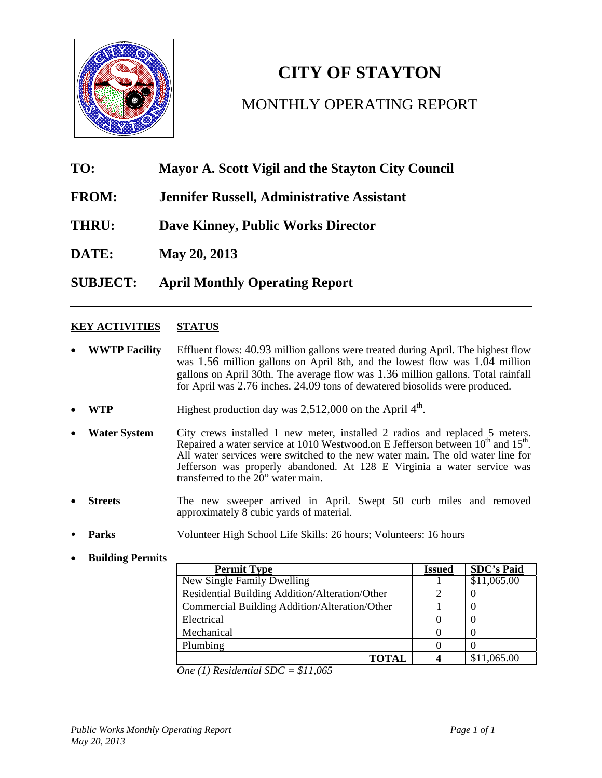

# **CITY OF STAYTON** MONTHLY OPERATING REPORT

## **TO: Mayor A. Scott Vigil and the Stayton City Council**

- **FROM: Jennifer Russell, Administrative Assistant**
- **THRU: Dave Kinney, Public Works Director**
- **DATE: May 20, 2013**

**SUBJECT: April Monthly Operating Report** 

### **KEY ACTIVITIES STATUS**

- **WWTP Facility** Effluent flows: 40.93 million gallons were treated during April. The highest flow was 1.56 million gallons on April 8th, and the lowest flow was 1.04 million gallons on April 30th. The average flow was 1.36 million gallons. Total rainfall for April was 2.76 inches. 24.09 tons of dewatered biosolids were produced.
- **WTP** Highest production day was 2,512,000 on the April 4<sup>th</sup>.
- **Water System** City crews installed 1 new meter, installed 2 radios and replaced 5 meters. Repaired a water service at 1010 Westwood.on E Jefferson between  $10^{th}$  and  $15^{th}$ . All water services were switched to the new water main. The old water line for Jefferson was properly abandoned. At 128 E Virginia a water service was transferred to the 20" water main.
- **Streets** The new sweeper arrived in April. Swept 50 curb miles and removed approximately 8 cubic yards of material.
- **Parks** Volunteer High School Life Skills: 26 hours; Volunteers: 16 hours
- **Building Permits**

| <b>Permit Type</b>                             | <b>Issued</b> | <b>SDC's Paid</b> |
|------------------------------------------------|---------------|-------------------|
| New Single Family Dwelling                     |               | \$11,065.00       |
| Residential Building Addition/Alteration/Other |               |                   |
| Commercial Building Addition/Alteration/Other  |               |                   |
| Electrical                                     |               |                   |
| Mechanical                                     |               |                   |
| Plumbing                                       |               |                   |
| <b>TOTAL</b>                                   |               | \$11,065.00       |

*One (1) Residential SDC = \$11,065*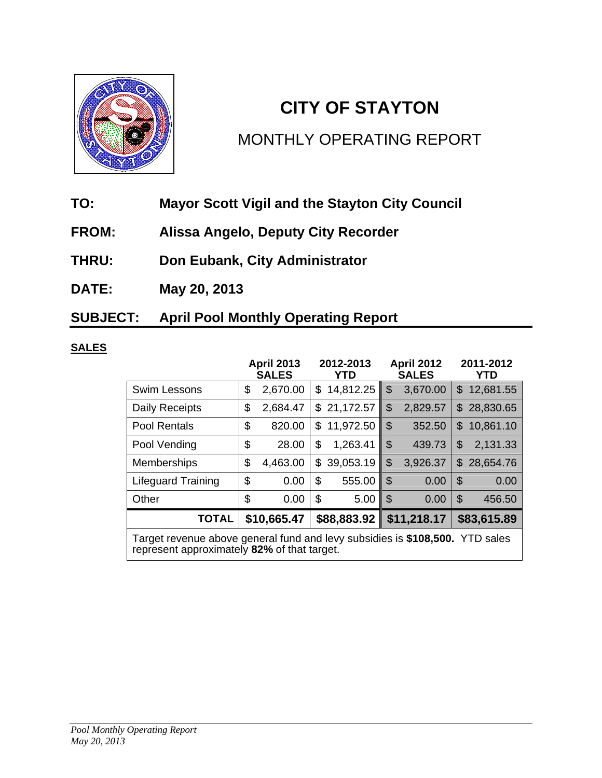

## **CITY OF STAYTON**

## MONTHLY OPERATING REPORT

- **TO: Mayor Scott Vigil and the Stayton City Council**
- **FROM: Alissa Angelo, Deputy City Recorder**
- **THRU: Don Eubank, City Administrator**
- **DATE: May 20, 2013**

## **SUBJECT: April Pool Monthly Operating Report**

## **SALES**

|                                                                                                                             | <b>April 2013</b><br><b>SALES</b> |          |    | 2012-2013<br>YTD |                | <b>April 2012</b><br><b>SALES</b> | 2011-2012<br>YTD |             |  |  |
|-----------------------------------------------------------------------------------------------------------------------------|-----------------------------------|----------|----|------------------|----------------|-----------------------------------|------------------|-------------|--|--|
| <b>Swim Lessons</b>                                                                                                         | \$                                | 2,670.00 | \$ | 14,812.25        | \$             | 3,670.00                          | \$               | 12,681.55   |  |  |
| Daily Receipts                                                                                                              | \$                                | 2,684.47 | \$ | 21,172.57        | \$             | 2,829.57                          |                  | \$28,830.65 |  |  |
| <b>Pool Rentals</b>                                                                                                         | \$                                | 820.00   | \$ | 11,972.50        | \$             | 352.50                            | \$               | 10,861.10   |  |  |
| Pool Vending                                                                                                                | \$                                | 28.00    | \$ | 1,263.41         | $\mathfrak{L}$ | 439.73                            | \$               | 2,131.33    |  |  |
| <b>Memberships</b>                                                                                                          | \$                                | 4,463.00 | \$ | 39,053.19        | \$             | 3,926.37                          | \$.              | 28,654.76   |  |  |
| <b>Lifeguard Training</b>                                                                                                   | \$                                | 0.00     | \$ | 555.00           | \$             | 0.00                              | \$               | 0.00        |  |  |
| Other                                                                                                                       | \$                                | 0.00     | \$ | 5.00             | -\$            | 0.00                              | \$               | 456.50      |  |  |
| <b>TOTAL</b>                                                                                                                | \$10,665.47                       |          |    | \$88,883.92      | \$11,218.17    |                                   |                  | \$83,615.89 |  |  |
| Target revenue above general fund and levy subsidies is \$108,500. YTD sales<br>represent approximately 82% of that target. |                                   |          |    |                  |                |                                   |                  |             |  |  |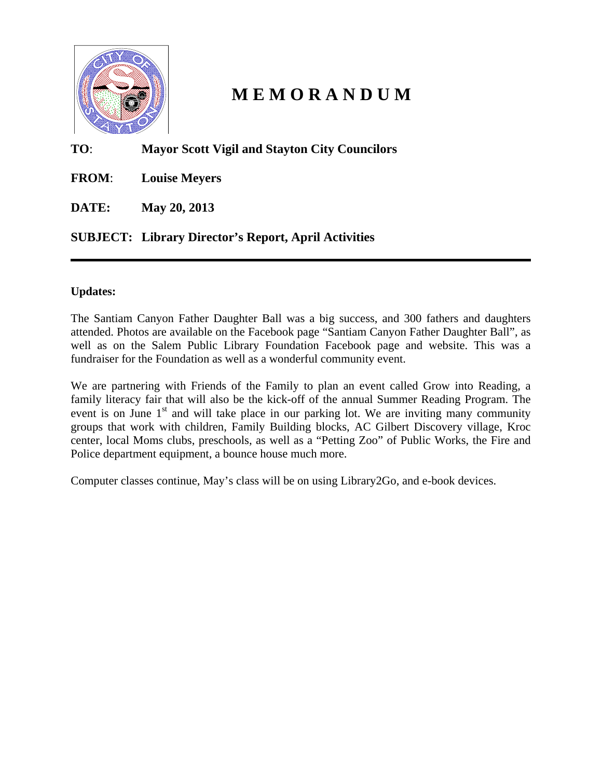

## **M E M O R A N D U M**

### **TO**: **Mayor Scott Vigil and Stayton City Councilors**

**FROM**: **Louise Meyers** 

**DATE: May 20, 2013** 

## **SUBJECT: Library Director's Report, April Activities**

### **Updates:**

The Santiam Canyon Father Daughter Ball was a big success, and 300 fathers and daughters attended. Photos are available on the Facebook page "Santiam Canyon Father Daughter Ball", as well as on the Salem Public Library Foundation Facebook page and website. This was a fundraiser for the Foundation as well as a wonderful community event.

We are partnering with Friends of the Family to plan an event called Grow into Reading, a family literacy fair that will also be the kick-off of the annual Summer Reading Program. The event is on June  $1<sup>st</sup>$  and will take place in our parking lot. We are inviting many community groups that work with children, Family Building blocks, AC Gilbert Discovery village, Kroc center, local Moms clubs, preschools, as well as a "Petting Zoo" of Public Works, the Fire and Police department equipment, a bounce house much more.

Computer classes continue, May's class will be on using Library2Go, and e-book devices.